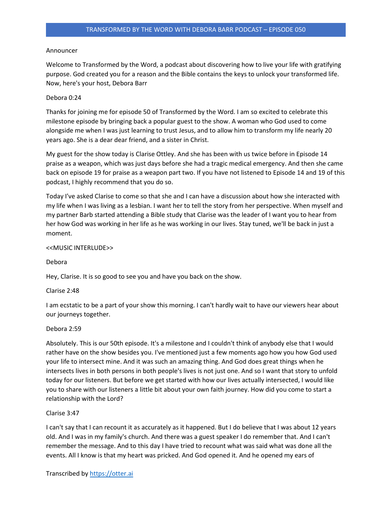## Announcer

Welcome to Transformed by the Word, a podcast about discovering how to live your life with gratifying purpose. God created you for a reason and the Bible contains the keys to unlock your transformed life. Now, here's your host, Debora Barr

## Debora 0:24

Thanks for joining me for episode 50 of Transformed by the Word. I am so excited to celebrate this milestone episode by bringing back a popular guest to the show. A woman who God used to come alongside me when I was just learning to trust Jesus, and to allow him to transform my life nearly 20 years ago. She is a dear dear friend, and a sister in Christ.

My guest for the show today is Clarise Ottley. And she has been with us twice before in Episode 14 praise as a weapon, which was just days before she had a tragic medical emergency. And then she came back on episode 19 for praise as a weapon part two. If you have not listened to Episode 14 and 19 of this podcast, I highly recommend that you do so.

Today I've asked Clarise to come so that she and I can have a discussion about how she interacted with my life when I was living as a lesbian. I want her to tell the story from her perspective. When myself and my partner Barb started attending a Bible study that Clarise was the leader of I want you to hear from her how God was working in her life as he was working in our lives. Stay tuned, we'll be back in just a moment.

# <<MUSIC INTERLUDE>>

Debora

Hey, Clarise. It is so good to see you and have you back on the show.

### Clarise 2:48

I am ecstatic to be a part of your show this morning. I can't hardly wait to have our viewers hear about our journeys together.

### Debora 2:59

Absolutely. This is our 50th episode. It's a milestone and I couldn't think of anybody else that I would rather have on the show besides you. I've mentioned just a few moments ago how you how God used your life to intersect mine. And it was such an amazing thing. And God does great things when he intersects lives in both persons in both people's lives is not just one. And so I want that story to unfold today for our listeners. But before we get started with how our lives actually intersected, I would like you to share with our listeners a little bit about your own faith journey. How did you come to start a relationship with the Lord?

# Clarise 3:47

I can't say that I can recount it as accurately as it happened. But I do believe that I was about 12 years old. And I was in my family's church. And there was a guest speaker I do remember that. And I can't remember the message. And to this day I have tried to recount what was said what was done all the events. All I know is that my heart was pricked. And God opened it. And he opened my ears of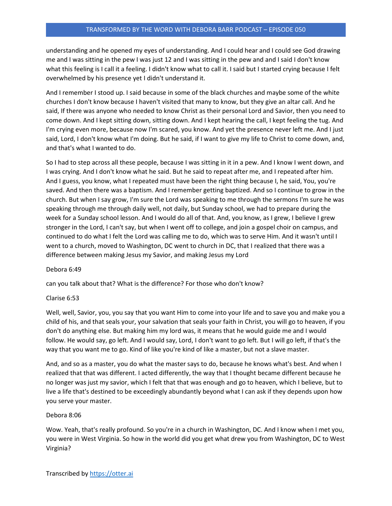understanding and he opened my eyes of understanding. And I could hear and I could see God drawing me and I was sitting in the pew I was just 12 and I was sitting in the pew and and I said I don't know what this feeling is I call it a feeling. I didn't know what to call it. I said but I started crying because I felt overwhelmed by his presence yet I didn't understand it.

And I remember I stood up. I said because in some of the black churches and maybe some of the white churches I don't know because I haven't visited that many to know, but they give an altar call. And he said, If there was anyone who needed to know Christ as their personal Lord and Savior, then you need to come down. And I kept sitting down, sitting down. And I kept hearing the call, I kept feeling the tug. And I'm crying even more, because now I'm scared, you know. And yet the presence never left me. And I just said, Lord, I don't know what I'm doing. But he said, if I want to give my life to Christ to come down, and, and that's what I wanted to do.

So I had to step across all these people, because I was sitting in it in a pew. And I know I went down, and I was crying. And I don't know what he said. But he said to repeat after me, and I repeated after him. And I guess, you know, what I repeated must have been the right thing because I, he said, You, you're saved. And then there was a baptism. And I remember getting baptized. And so I continue to grow in the church. But when I say grow, I'm sure the Lord was speaking to me through the sermons I'm sure he was speaking through me through daily well, not daily, but Sunday school, we had to prepare during the week for a Sunday school lesson. And I would do all of that. And, you know, as I grew, I believe I grew stronger in the Lord, I can't say, but when I went off to college, and join a gospel choir on campus, and continued to do what I felt the Lord was calling me to do, which was to serve Him. And it wasn't until I went to a church, moved to Washington, DC went to church in DC, that I realized that there was a difference between making Jesus my Savior, and making Jesus my Lord

# Debora 6:49

can you talk about that? What is the difference? For those who don't know?

# Clarise 6:53

Well, well, Savior, you, you say that you want Him to come into your life and to save you and make you a child of his, and that seals your, your salvation that seals your faith in Christ, you will go to heaven, if you don't do anything else. But making him my lord was, it means that he would guide me and I would follow. He would say, go left. And I would say, Lord, I don't want to go left. But I will go left, if that's the way that you want me to go. Kind of like you're kind of like a master, but not a slave master.

And, and so as a master, you do what the master says to do, because he knows what's best. And when I realized that that was different. I acted differently, the way that I thought became different because he no longer was just my savior, which I felt that that was enough and go to heaven, which I believe, but to live a life that's destined to be exceedingly abundantly beyond what I can ask if they depends upon how you serve your master.

# Debora 8:06

Wow. Yeah, that's really profound. So you're in a church in Washington, DC. And I know when I met you, you were in West Virginia. So how in the world did you get what drew you from Washington, DC to West Virginia?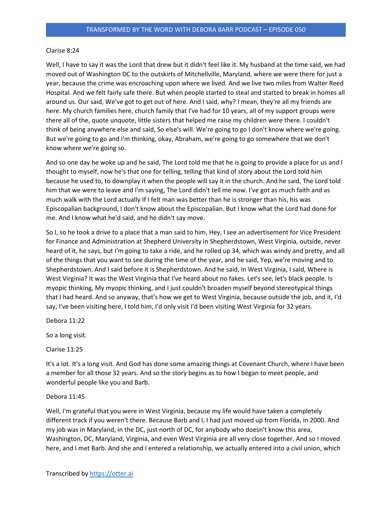### Clarise 8:24

Well, I have to say it was the Lord that drew but it didn't feel like it. My husband at the time said, we had moved out of Washington DC to the outskirts of Mitchellville, Maryland, where we were there for just a year, because the crime was encroaching upon where we lived. And we live two miles from Walter Reed Hospital. And we felt fairly safe there. But when people started to steal and started to break in homes all around us. Our said, We've got to get out of here. And I said, why? I mean, they're all my friends are here. My church families here, church family that I've had for 10 years, all of my support groups were there all of the, quote unquote, little sisters that helped me raise my children were there. I couldn't think of being anywhere else and said, So else's will. We're going to go I don't know where we're going. But we're going to go and I'm thinking, okay, Abraham, we're going to go somewhere that we don't know where we're going so.

And so one day he woke up and he said, The Lord told me that he is going to provide a place for us and I thought to myself, now he's that one for telling, telling that kind of story about the Lord told him because he used to, to downplay it when the people will say it in the church. And he said, The Lord told him that we were to leave and I'm saying, The Lord didn't tell me now. I've got as much faith and as much walk with the Lord actually If I felt man was better than he is stronger than his, his was Episcopalian background, I don't know about the Episcopalian. But I know what the Lord had done for me. And I know what he'd said, and he didn't say move.

So I, so he took a drive to a place that a man said to him, Hey, I see an advertisement for Vice President for Finance and Administration at Shepherd University in Shepherdstown, West Virginia, outside, never heard of it, he says, but I'm going to take a ride, and he rolled up 34, which was windy and pretty, and all of the things that you want to see during the time of the year, and he said, Yep, we're moving and to Shepherdstown. And I said before it is Shepherdstown. And he said, in West Virginia, I said, Where is West Virginia? It was the West Virginia that I've heard about no fakes. Let's see, let's black people. Is myopic thinking, My myopic thinking, and I just couldn't broaden myself beyond stereotypical things that I had heard. And so anyway, that's how we get to West Virginia, because outside the job, and it, I'd say, I've been visiting here, I told him, I'd only visit I'd been visiting West Virginia for 32 years.

Debora 11:22

So a long visit.

Clarise 11:25

It's a lot. It's a long visit. And God has done some amazing things at Covenant Church, where I have been a member for all those 32 years. And so the story begins as to how I began to meet people, and wonderful people like you and Barb.

# Debora 11:45

Well, I'm grateful that you were in West Virginia, because my life would have taken a completely different track if you weren't there. Because Barb and I, I had just moved up from Florida, in 2000. And my job was in Maryland, in the DC, just north of DC, for anybody who doesn't know this area, Washington, DC, Maryland, Virginia, and even West Virginia are all very close together. And so I moved here, and I met Barb. And she and I entered a relationship, we actually entered into a civil union, which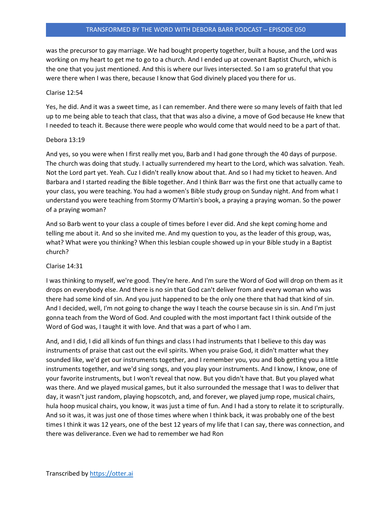## TRANSFORMED BY THE WORD WITH DEBORA BARR PODCAST – EPISODE 050

was the precursor to gay marriage. We had bought property together, built a house, and the Lord was working on my heart to get me to go to a church. And I ended up at covenant Baptist Church, which is the one that you just mentioned. And this is where our lives intersected. So I am so grateful that you were there when I was there, because I know that God divinely placed you there for us.

#### Clarise 12:54

Yes, he did. And it was a sweet time, as I can remember. And there were so many levels of faith that led up to me being able to teach that class, that that was also a divine, a move of God because He knew that I needed to teach it. Because there were people who would come that would need to be a part of that.

#### Debora 13:19

And yes, so you were when I first really met you, Barb and I had gone through the 40 days of purpose. The church was doing that study. I actually surrendered my heart to the Lord, which was salvation. Yeah. Not the Lord part yet. Yeah. Cuz I didn't really know about that. And so I had my ticket to heaven. And Barbara and I started reading the Bible together. And I think Barr was the first one that actually came to your class, you were teaching. You had a women's Bible study group on Sunday night. And from what I understand you were teaching from Stormy O'Martin's book, a praying a praying woman. So the power of a praying woman?

And so Barb went to your class a couple of times before I ever did. And she kept coming home and telling me about it. And so she invited me. And my question to you, as the leader of this group, was, what? What were you thinking? When this lesbian couple showed up in your Bible study in a Baptist church?

#### Clarise 14:31

I was thinking to myself, we're good. They're here. And I'm sure the Word of God will drop on them as it drops on everybody else. And there is no sin that God can't deliver from and every woman who was there had some kind of sin. And you just happened to be the only one there that had that kind of sin. And I decided, well, I'm not going to change the way I teach the course because sin is sin. And I'm just gonna teach from the Word of God. And coupled with the most important fact I think outside of the Word of God was, I taught it with love. And that was a part of who I am.

And, and I did, I did all kinds of fun things and class I had instruments that I believe to this day was instruments of praise that cast out the evil spirits. When you praise God, it didn't matter what they sounded like, we'd get our instruments together, and I remember you, you and Bob getting you a little instruments together, and we'd sing songs, and you play your instruments. And I know, I know, one of your favorite instruments, but I won't reveal that now. But you didn't have that. But you played what was there. And we played musical games, but it also surrounded the message that I was to deliver that day, it wasn't just random, playing hopscotch, and, and forever, we played jump rope, musical chairs, hula hoop musical chairs, you know, it was just a time of fun. And I had a story to relate it to scripturally. And so it was, it was just one of those times where when I think back, it was probably one of the best times I think it was 12 years, one of the best 12 years of my life that I can say, there was connection, and there was deliverance. Even we had to remember we had Ron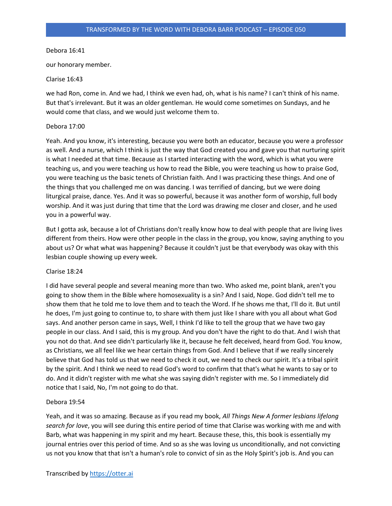## Debora 16:41

our honorary member.

### Clarise 16:43

we had Ron, come in. And we had, I think we even had, oh, what is his name? I can't think of his name. But that's irrelevant. But it was an older gentleman. He would come sometimes on Sundays, and he would come that class, and we would just welcome them to.

## Debora 17:00

Yeah. And you know, it's interesting, because you were both an educator, because you were a professor as well. And a nurse, which I think is just the way that God created you and gave you that nurturing spirit is what I needed at that time. Because as I started interacting with the word, which is what you were teaching us, and you were teaching us how to read the Bible, you were teaching us how to praise God, you were teaching us the basic tenets of Christian faith. And I was practicing these things. And one of the things that you challenged me on was dancing. I was terrified of dancing, but we were doing liturgical praise, dance. Yes. And it was so powerful, because it was another form of worship, full body worship. And it was just during that time that the Lord was drawing me closer and closer, and he used you in a powerful way.

But I gotta ask, because a lot of Christians don't really know how to deal with people that are living lives different from theirs. How were other people in the class in the group, you know, saying anything to you about us? Or what what was happening? Because it couldn't just be that everybody was okay with this lesbian couple showing up every week.

# Clarise 18:24

I did have several people and several meaning more than two. Who asked me, point blank, aren't you going to show them in the Bible where homosexuality is a sin? And I said, Nope. God didn't tell me to show them that he told me to love them and to teach the Word. If he shows me that, I'll do it. But until he does, I'm just going to continue to, to share with them just like I share with you all about what God says. And another person came in says, Well, I think I'd like to tell the group that we have two gay people in our class. And I said, this is my group. And you don't have the right to do that. And I wish that you not do that. And see didn't particularly like it, because he felt deceived, heard from God. You know, as Christians, we all feel like we hear certain things from God. And I believe that if we really sincerely believe that God has told us that we need to check it out, we need to check our spirit. It's a tribal spirit by the spirit. And I think we need to read God's word to confirm that that's what he wants to say or to do. And it didn't register with me what she was saying didn't register with me. So I immediately did notice that I said, No, I'm not going to do that.

# Debora 19:54

Yeah, and it was so amazing. Because as if you read my book, All Things New A former lesbians lifelong search for love, you will see during this entire period of time that Clarise was working with me and with Barb, what was happening in my spirit and my heart. Because these, this, this book is essentially my journal entries over this period of time. And so as she was loving us unconditionally, and not convicting us not you know that that isn't a human's role to convict of sin as the Holy Spirit's job is. And you can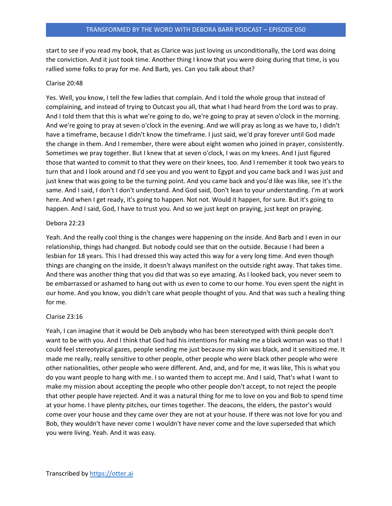start to see if you read my book, that as Clarice was just loving us unconditionally, the Lord was doing the conviction. And it just took time. Another thing I know that you were doing during that time, is you rallied some folks to pray for me. And Barb, yes. Can you talk about that?

## Clarise 20:48

Yes. Well, you know, I tell the few ladies that complain. And I told the whole group that instead of complaining, and instead of trying to Outcast you all, that what I had heard from the Lord was to pray. And I told them that this is what we're going to do, we're going to pray at seven o'clock in the morning. And we're going to pray at seven o'clock in the evening. And we will pray as long as we have to, I didn't have a timeframe, because I didn't know the timeframe. I just said, we'd pray forever until God made the change in them. And I remember, there were about eight women who joined in prayer, consistently. Sometimes we pray together. But I knew that at seven o'clock, I was on my knees. And I just figured those that wanted to commit to that they were on their knees, too. And I remember it took two years to turn that and I look around and I'd see you and you went to Egypt and you came back and I was just and just knew that was going to be the turning point. And you came back and you'd like was like, see it's the same. And I said, I don't I don't understand. And God said, Don't lean to your understanding. I'm at work here. And when I get ready, it's going to happen. Not not. Would it happen, for sure. But it's going to happen. And I said, God, I have to trust you. And so we just kept on praying, just kept on praying.

# Debora 22:23

Yeah. And the really cool thing is the changes were happening on the inside. And Barb and I even in our relationship, things had changed. But nobody could see that on the outside. Because I had been a lesbian for 18 years. This I had dressed this way acted this way for a very long time. And even though things are changing on the inside, it doesn't always manifest on the outside right away. That takes time. And there was another thing that you did that was so eye amazing. As I looked back, you never seem to be embarrassed or ashamed to hang out with us even to come to our home. You even spent the night in our home. And you know, you didn't care what people thought of you. And that was such a healing thing for me.

### Clarise 23:16

Yeah, I can imagine that it would be Deb anybody who has been stereotyped with think people don't want to be with you. And I think that God had his intentions for making me a black woman was so that I could feel stereotypical gazes, people sending me just because my skin was black, and it sensitized me. It made me really, really sensitive to other people, other people who were black other people who were other nationalities, other people who were different. And, and, and for me, it was like, This is what you do you want people to hang with me. I so wanted them to accept me. And I said, That's what I want to make my mission about accepting the people who other people don't accept, to not reject the people that other people have rejected. And it was a natural thing for me to love on you and Bob to spend time at your home. I have plenty pitches, our times together. The deacons, the elders, the pastor's would come over your house and they came over they are not at your house. If there was not love for you and Bob, they wouldn't have never come I wouldn't have never come and the love superseded that which you were living. Yeah. And it was easy.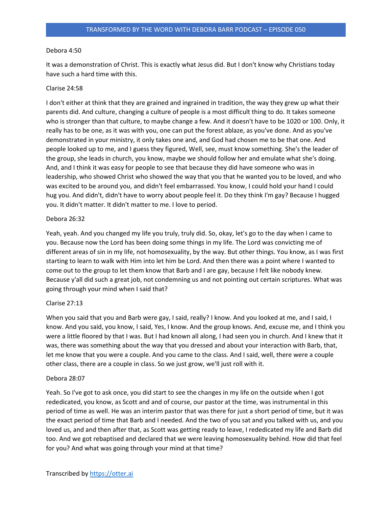# Debora 4:50

It was a demonstration of Christ. This is exactly what Jesus did. But I don't know why Christians today have such a hard time with this.

# Clarise 24:58

I don't either at think that they are grained and ingrained in tradition, the way they grew up what their parents did. And culture, changing a culture of people is a most difficult thing to do. It takes someone who is stronger than that culture, to maybe change a few. And it doesn't have to be 1020 or 100. Only, it really has to be one, as it was with you, one can put the forest ablaze, as you've done. And as you've demonstrated in your ministry, it only takes one and, and God had chosen me to be that one. And people looked up to me, and I guess they figured, Well, see, must know something. She's the leader of the group, she leads in church, you know, maybe we should follow her and emulate what she's doing. And, and I think it was easy for people to see that because they did have someone who was in leadership, who showed Christ who showed the way that you that he wanted you to be loved, and who was excited to be around you, and didn't feel embarrassed. You know, I could hold your hand I could hug you. And didn't, didn't have to worry about people feel it. Do they think I'm gay? Because I hugged you. It didn't matter. It didn't matter to me. I love to period.

# Debora 26:32

Yeah, yeah. And you changed my life you truly, truly did. So, okay, let's go to the day when I came to you. Because now the Lord has been doing some things in my life. The Lord was convicting me of different areas of sin in my life, not homosexuality, by the way. But other things. You know, as I was first starting to learn to walk with Him into let him be Lord. And then there was a point where I wanted to come out to the group to let them know that Barb and I are gay, because I felt like nobody knew. Because y'all did such a great job, not condemning us and not pointing out certain scriptures. What was going through your mind when I said that?

# Clarise 27:13

When you said that you and Barb were gay, I said, really? I know. And you looked at me, and I said, I know. And you said, you know, I said, Yes, I know. And the group knows. And, excuse me, and I think you were a little floored by that I was. But I had known all along, I had seen you in church. And I knew that it was, there was something about the way that you dressed and about your interaction with Barb, that, let me know that you were a couple. And you came to the class. And I said, well, there were a couple other class, there are a couple in class. So we just grow, we'll just roll with it.

# Debora 28:07

Yeah. So I've got to ask once, you did start to see the changes in my life on the outside when I got rededicated, you know, as Scott and and of course, our pastor at the time, was instrumental in this period of time as well. He was an interim pastor that was there for just a short period of time, but it was the exact period of time that Barb and I needed. And the two of you sat and you talked with us, and you loved us, and and then after that, as Scott was getting ready to leave, I rededicated my life and Barb did too. And we got rebaptised and declared that we were leaving homosexuality behind. How did that feel for you? And what was going through your mind at that time?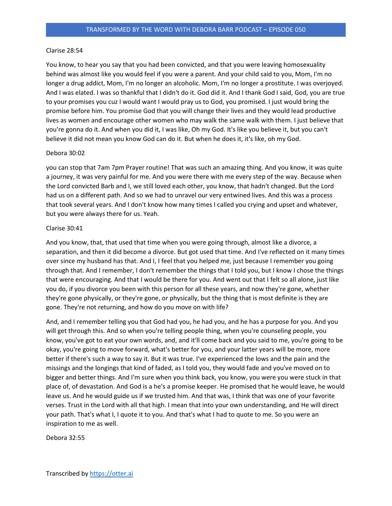### Clarise 28:54

You know, to hear you say that you had been convicted, and that you were leaving homosexuality behind was almost like you would feel if you were a parent. And your child said to you, Mom, I'm no longer a drug addict, Mom, I'm no longer an alcoholic. Mom, I'm no longer a prostitute. I was overjoyed. And I was elated. I was so thankful that I didn't do it. God did it. And I thank God I said, God, you are true to your promises you cuz I would want I would pray us to God, you promised. I just would bring the promise before him. You promise God that you will change their lives and they would lead productive lives as women and encourage other women who may walk the same walk with them. I just believe that you're gonna do it. And when you did it, I was like, Oh my God. It's like you believe it, but you can't believe it did not mean you know God can do it. But when he does it, it's like, oh my God.

# Debora 30:02

you can stop that 7am 7pm Prayer routine! That was such an amazing thing. And you know, it was quite a journey, it was very painful for me. And you were there with me every step of the way. Because when the Lord convicted Barb and I, we still loved each other, you know, that hadn't changed. But the Lord had us on a different path. And so we had to unravel our very entwined lives. And this was a process that took several years. And I don't know how many times I called you crying and upset and whatever, but you were always there for us. Yeah.

### Clarise 30:41

And you know, that, that used that time when you were going through, almost like a divorce, a separation, and then it did become a divorce. But got used that time. And I've reflected on it many times over since my husband has that. And I, I feel that you helped me, just because I remember you going through that. And I remember, I don't remember the things that I told you, but I know I chose the things that were encouraging. And that I would be there for you. And went out that I felt so all alone, just like you do, if you divorce you been with this person for all these years, and now they're gone, whether they're gone physically, or they're gone, or physically, but the thing that is most definite is they are gone. They're not returning, and how do you move on with life?

And, and I remember telling you that God had you, he had you, and he has a purpose for you. And you will get through this. And so when you're telling people thing, when you're counseling people, you know, you've got to eat your own words, and, and it'll come back and you said to me, you're going to be okay, you're going to move forward, what's better for you, and your latter years will be more, more better if there's such a way to say it. But it was true. I've experienced the lows and the pain and the missings and the longings that kind of faded, as I told you, they would fade and you've moved on to bigger and better things. And I'm sure when you think back, you know, you were you were stuck in that place of, of devastation. And God is a he's a promise keeper. He promised that he would leave, he would leave us. And he would guide us if we trusted him. And that was, I think that was one of your favorite verses. Trust in the Lord with all that high. I mean that into your own understanding, and He will direct your path. That's what I, I quote it to you. And that's what I had to quote to me. So you were an inspiration to me as well.

Debora 32:55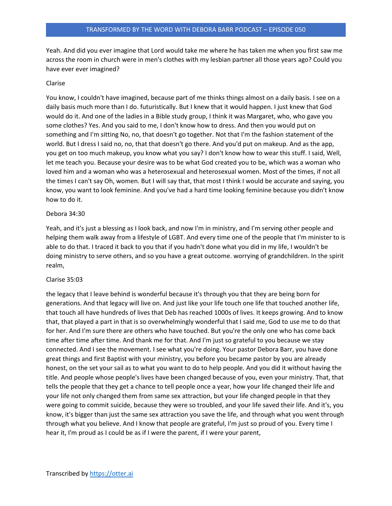Yeah. And did you ever imagine that Lord would take me where he has taken me when you first saw me across the room in church were in men's clothes with my lesbian partner all those years ago? Could you have ever ever imagined?

# Clarise

You know, I couldn't have imagined, because part of me thinks things almost on a daily basis. I see on a daily basis much more than I do. futuristically. But I knew that it would happen. I just knew that God would do it. And one of the ladies in a Bible study group, I think it was Margaret, who, who gave you some clothes? Yes. And you said to me, I don't know how to dress. And then you would put on something and I'm sitting No, no, that doesn't go together. Not that I'm the fashion statement of the world. But I dress I said no, no, that that doesn't go there. And you'd put on makeup. And as the app, you get on too much makeup, you know what you say? I don't know how to wear this stuff. I said, Well, let me teach you. Because your desire was to be what God created you to be, which was a woman who loved him and a woman who was a heterosexual and heterosexual women. Most of the times, if not all the times I can't say Oh, women. But I will say that, that most I think I would be accurate and saying, you know, you want to look feminine. And you've had a hard time looking feminine because you didn't know how to do it.

# Debora 34:30

Yeah, and it's just a blessing as I look back, and now I'm in ministry, and I'm serving other people and helping them walk away from a lifestyle of LGBT. And every time one of the people that I'm minister to is able to do that. I traced it back to you that if you hadn't done what you did in my life, I wouldn't be doing ministry to serve others, and so you have a great outcome. worrying of grandchildren. In the spirit realm,

# Clarise 35:03

the legacy that I leave behind is wonderful because it's through you that they are being born for generations. And that legacy will live on. And just like your life touch one life that touched another life, that touch all have hundreds of lives that Deb has reached 1000s of lives. It keeps growing. And to know that, that played a part in that is so overwhelmingly wonderful that I said me, God to use me to do that for her. And I'm sure there are others who have touched. But you're the only one who has come back time after time after time. And thank me for that. And I'm just so grateful to you because we stay connected. And I see the movement. I see what you're doing. Your pastor Debora Barr, you have done great things and first Baptist with your ministry, you before you became pastor by you are already honest, on the set your sail as to what you want to do to help people. And you did it without having the title. And people whose people's lives have been changed because of you, even your ministry. That, that tells the people that they get a chance to tell people once a year, how your life changed their life and your life not only changed them from same sex attraction, but your life changed people in that they were going to commit suicide, because they were so troubled, and your life saved their life. And it's, you know, it's bigger than just the same sex attraction you save the life, and through what you went through through what you believe. And I know that people are grateful, I'm just so proud of you. Every time I hear it, I'm proud as I could be as if I were the parent, if I were your parent,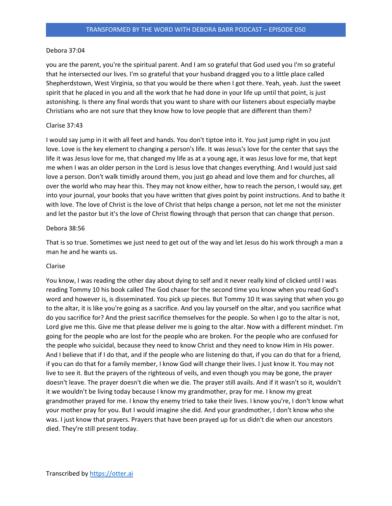## Debora 37:04

you are the parent, you're the spiritual parent. And I am so grateful that God used you I'm so grateful that he intersected our lives. I'm so grateful that your husband dragged you to a little place called Shepherdstown, West Virginia, so that you would be there when I got there. Yeah, yeah. Just the sweet spirit that he placed in you and all the work that he had done in your life up until that point, is just astonishing. Is there any final words that you want to share with our listeners about especially maybe Christians who are not sure that they know how to love people that are different than them?

## Clarise 37:43

I would say jump in it with all feet and hands. You don't tiptoe into it. You just jump right in you just love. Love is the key element to changing a person's life. It was Jesus's love for the center that says the life it was Jesus love for me, that changed my life as at a young age, it was Jesus love for me, that kept me when I was an older person in the Lord is Jesus love that changes everything. And I would just said love a person. Don't walk timidly around them, you just go ahead and love them and for churches, all over the world who may hear this. They may not know either, how to reach the person, I would say, get into your journal, your books that you have written that gives point by point instructions. And to bathe it with love. The love of Christ is the love of Christ that helps change a person, not let me not the minister and let the pastor but it's the love of Christ flowing through that person that can change that person.

### Debora 38:56

That is so true. Sometimes we just need to get out of the way and let Jesus do his work through a man a man he and he wants us.

### Clarise

You know, I was reading the other day about dying to self and it never really kind of clicked until I was reading Tommy 10 his book called The God chaser for the second time you know when you read God's word and however is, is disseminated. You pick up pieces. But Tommy 10 It was saying that when you go to the altar, it is like you're going as a sacrifice. And you lay yourself on the altar, and you sacrifice what do you sacrifice for? And the priest sacrifice themselves for the people. So when I go to the altar is not, Lord give me this. Give me that please deliver me is going to the altar. Now with a different mindset. I'm going for the people who are lost for the people who are broken. For the people who are confused for the people who suicidal, because they need to know Christ and they need to know Him in His power. And I believe that if I do that, and if the people who are listening do that, if you can do that for a friend, if you can do that for a family member, I know God will change their lives. I just know it. You may not live to see it. But the prayers of the righteous of veils, and even though you may be gone, the prayer doesn't leave. The prayer doesn't die when we die. The prayer still avails. And if it wasn't so it, wouldn't it we wouldn't be living today because I know my grandmother, pray for me. I know my great grandmother prayed for me. I know thy enemy tried to take their lives. I know you're, I don't know what your mother pray for you. But I would imagine she did. And your grandmother, I don't know who she was. I just know that prayers. Prayers that have been prayed up for us didn't die when our ancestors died. They're still present today.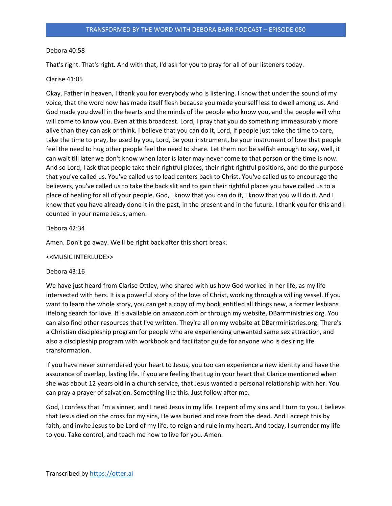# Debora 40:58

That's right. That's right. And with that, I'd ask for you to pray for all of our listeners today.

# Clarise 41:05

Okay. Father in heaven, I thank you for everybody who is listening. I know that under the sound of my voice, that the word now has made itself flesh because you made yourself less to dwell among us. And God made you dwell in the hearts and the minds of the people who know you, and the people will who will come to know you. Even at this broadcast. Lord, I pray that you do something immeasurably more alive than they can ask or think. I believe that you can do it, Lord, if people just take the time to care, take the time to pray, be used by you, Lord, be your instrument, be your instrument of love that people feel the need to hug other people feel the need to share. Let them not be selfish enough to say, well, it can wait till later we don't know when later is later may never come to that person or the time is now. And so Lord, I ask that people take their rightful places, their right rightful positions, and do the purpose that you've called us. You've called us to lead centers back to Christ. You've called us to encourage the believers, you've called us to take the back slit and to gain their rightful places you have called us to a place of healing for all of your people. God, I know that you can do it, I know that you will do it. And I know that you have already done it in the past, in the present and in the future. I thank you for this and I counted in your name Jesus, amen.

# Debora 42:34

Amen. Don't go away. We'll be right back after this short break.

# <<MUSIC INTERLUDE>>

# Debora 43:16

We have just heard from Clarise Ottley, who shared with us how God worked in her life, as my life intersected with hers. It is a powerful story of the love of Christ, working through a willing vessel. If you want to learn the whole story, you can get a copy of my book entitled all things new, a former lesbians lifelong search for love. It is available on amazon.com or through my website, DBarrministries.org. You can also find other resources that I've written. They're all on my website at DBarrministries.org. There's a Christian discipleship program for people who are experiencing unwanted same sex attraction, and also a discipleship program with workbook and facilitator guide for anyone who is desiring life transformation.

If you have never surrendered your heart to Jesus, you too can experience a new identity and have the assurance of overlap, lasting life. If you are feeling that tug in your heart that Clarice mentioned when she was about 12 years old in a church service, that Jesus wanted a personal relationship with her. You can pray a prayer of salvation. Something like this. Just follow after me.

God, I confess that I'm a sinner, and I need Jesus in my life. I repent of my sins and I turn to you. I believe that Jesus died on the cross for my sins, He was buried and rose from the dead. And I accept this by faith, and invite Jesus to be Lord of my life, to reign and rule in my heart. And today, I surrender my life to you. Take control, and teach me how to live for you. Amen.